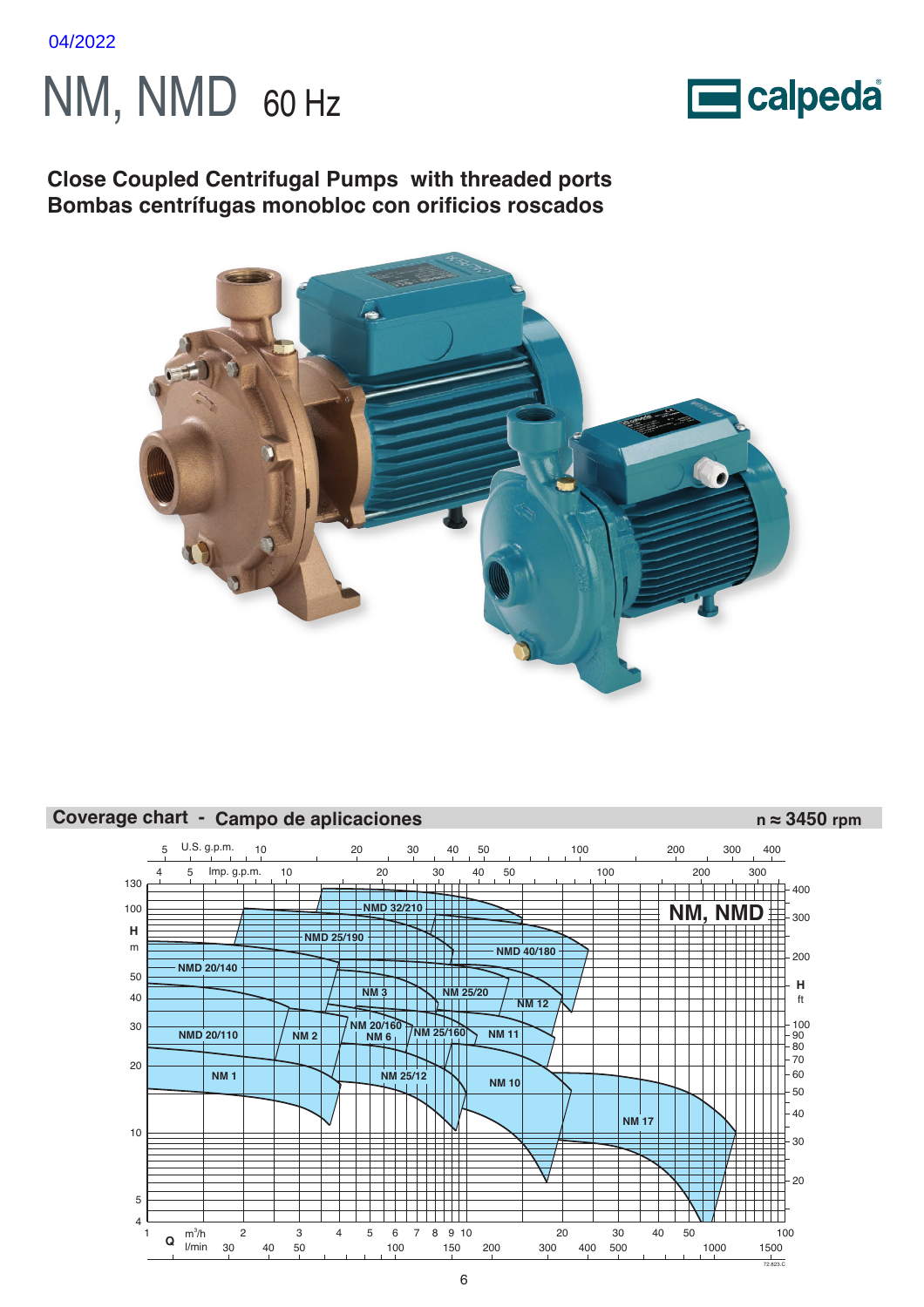





**Close Coupled Centrifugal Pumps with threaded ports Bombas centrífugas monobloc con orificios roscados**



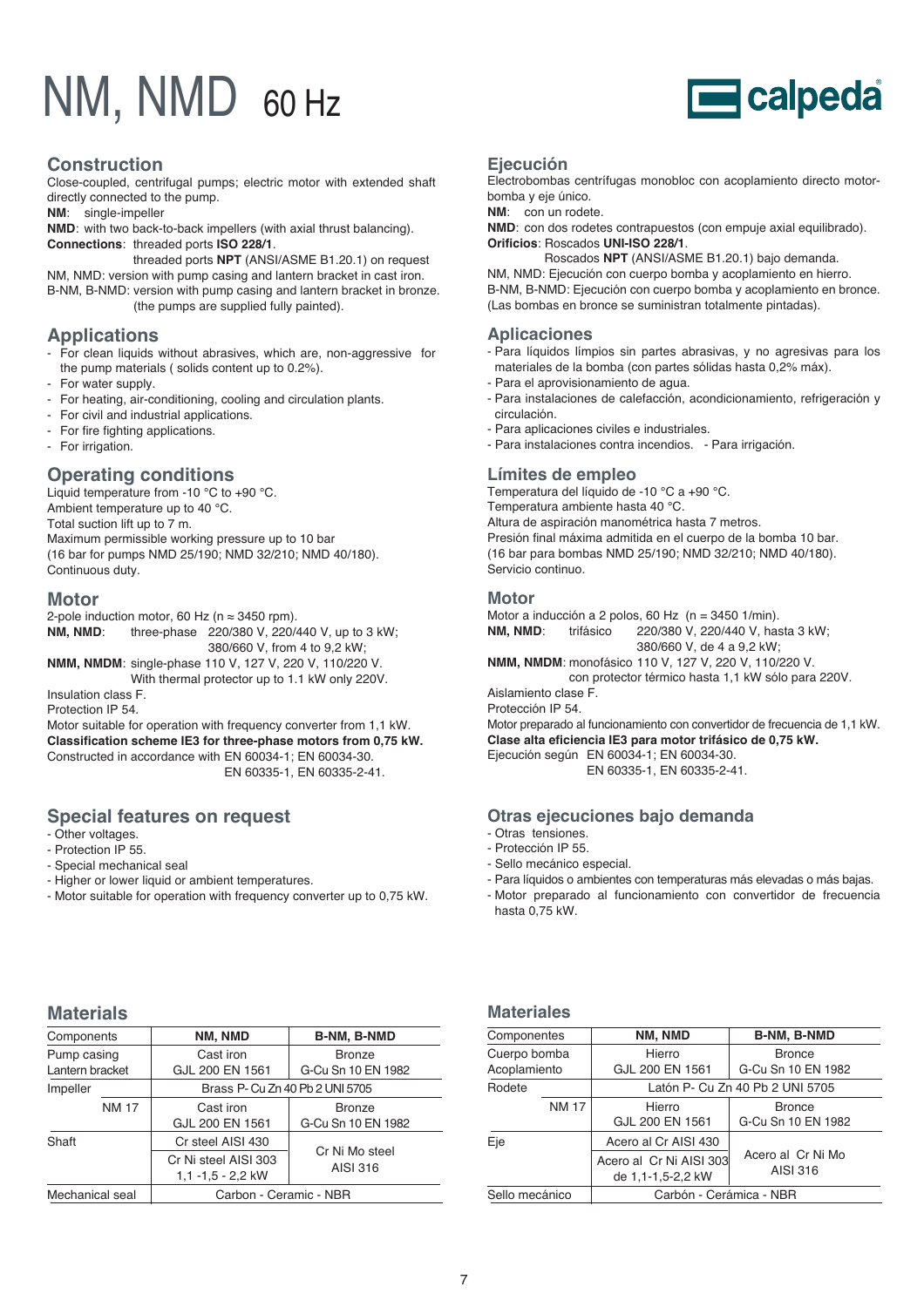# NM, NMD 60 Hz



## **Construction**

Close-coupled, centrifugal pumps; electric motor with extended shaft directly connected to the pump.

**NM**: single-impeller

**NMD**: with two back-to-back impellers (with axial thrust balancing). **Connections**: threaded ports **ISO 228/1**.

threaded ports **NPT** (ANSI/ASME B1.20.1) on request NM, NMD: version with pump casing and lantern bracket in cast iron. B-NM, B-NMD: version with pump casing and lantern bracket in bronze. (the pumps are supplied fully painted).

## **Applications**

- For clean liquids without abrasives, which are, non-aggressive for the pump materials ( solids content up to 0.2%).
- For water supply.
- For heating, air-conditioning, cooling and circulation plants.
- For civil and industrial applications.
- For fire fighting applications.
- For irrigation.

## **Operating conditions**

Liquid temperature from -10 °C to +90 °C. Ambient temperature up to 40 °C. Total suction lift up to 7 m. Maximum permissible working pressure up to 10 bar (16 bar for pumps NMD 25/190; NMD 32/210; NMD 40/180). Continuous duty.

### **Motor**

2-pole induction motor, 60 Hz ( $n \approx 3450$  rpm). **NM, NMD**: three-phase 220/380 V, 220/440 V, up to 3 kW; 380/660 V, from 4 to 9,2 kW; **NMM, NMDM**: single-phase 110 V, 127 V, 220 V, 110/220 V.

With thermal protector up to 1.1 kW only 220V. Insulation class F.

Protection IP 54.

Motor suitable for operation with frequency converter from 1,1 kW. **Classification scheme IE3 for three-phase motors from 0,75 kW.** Constructed in accordance with EN 60034-1; EN 60034-30. EN 60335-1, EN 60335-2-41.

## **Special features on request**

- Other voltages.
- Protection IP 55.
- Special mechanical seal
- Higher or lower liquid or ambient temperatures.
- Motor suitable for operation with frequency converter up to 0,75 kW.

## **Ejecución**

Electrobombas centrífugas monobloc con acoplamiento directo motorbomba y eje único.

**NM**: con un rodete.

**NMD**: con dos rodetes contrapuestos (con empuje axial equilibrado). **Orificios**: Roscados **UNI-ISO 228/1**.

Roscados **NPT** (ANSI/ASME B1.20.1) bajo demanda. NM, NMD: Ejecución con cuerpo bomba y acoplamiento en hierro. B-NM, B-NMD: Ejecución con cuerpo bomba y acoplamiento en bronce. (Las bombas en bronce se suministran totalmente pintadas).

### **Aplicaciones**

- Para líquidos límpios sin partes abrasivas, y no agresivas para los materiales de la bomba (con partes sólidas hasta 0,2% máx).
- Para el aprovisionamiento de agua.
- Para instalaciones de calefacción, acondicionamiento, refrigeración y circulación.
- Para aplicaciones civiles e industriales.
- Para instalaciones contra incendios. Para irrigación.

### **Límites de empleo**

Temperatura del líquido de -10 °C a +90 °C. Temperatura ambiente hasta 40 °C. Altura de aspiración manométrica hasta 7 metros. Presión final máxima admitida en el cuerpo de la bomba 10 bar. (16 bar para bombas NMD 25/190; NMD 32/210; NMD 40/180). Servicio continuo.

### **Motor**

Motor a inducción a 2 polos, 60 Hz (n = 3450 1/min). **NM, NMD**: trifásico 220/380 V, 220/440 V, hasta 3 kW; 380/660 V, de 4 a 9,2 kW;

**NMM, NMDM**: monofásico 110 V, 127 V, 220 V, 110/220 V. con protector térmico hasta 1,1 kW sólo para 220V.

Aislamiento clase F. Protección IP 54.

Motor preparado al funcionamiento con convertidor de frecuencia de 1,1 kW. **Clase alta eficiencia IE3 para motor trifásico de 0,75 kW.** Ejecución según EN 60034-1; EN 60034-30.

EN 60335-1, EN 60335-2-41.

### **Otras ejecuciones bajo demanda**

- Otras tensiones.
- Protección IP 55.
- Sello mecánico especial.
- Para líquidos o ambientes con temperaturas más elevadas o más bajas.
- Motor preparado al funcionamiento con convertidor de frecuencia hasta 0,75 kW.

# **Materials**

| Components                     |              | NM, NMD                                     | B-NM, B-NMD                         |
|--------------------------------|--------------|---------------------------------------------|-------------------------------------|
| Pump casing<br>Lantern bracket |              | Cast iron<br>GJL 200 EN 1561                | <b>Bronze</b><br>G-Cu Sn 10 EN 1982 |
| Impeller                       |              | Brass P- Cu Zn 40 Pb 2 UNI 5705             |                                     |
|                                | <b>NM 17</b> | Cast iron<br>GJL 200 EN 1561                | <b>Bronze</b><br>G-Cu Sn 10 EN 1982 |
| Shaft                          |              | Cr steel AISI 430                           | Cr Ni Mo steel                      |
|                                |              | Cr Ni steel AISI 303<br>$1,1 -1,5 - 2,2$ kW | AISI 316                            |
| Mechanical seal                |              | Carbon - Ceramic - NBR                      |                                     |

# **Materiales**

| Componentes    |              | NM, NMD                 | B-NM, B-NMD                     |
|----------------|--------------|-------------------------|---------------------------------|
| Cuerpo bomba   |              | Hierro                  | <b>Bronce</b>                   |
| Acoplamiento   |              | GJL 200 EN 1561         | G-Cu Sn 10 EN 1982              |
| Rodete         |              |                         | Latón P- Cu Zn 40 Pb 2 UNI 5705 |
|                | <b>NM 17</b> | Hierro                  | <b>Bronce</b>                   |
|                |              | GJL 200 EN 1561         | G-Cu Sn 10 EN 1982              |
| Eje            |              | Acero al Cr AISI 430    |                                 |
|                |              | Acero al Cr Ni AISI 303 | Acero al Cr Ni Mo               |
|                |              | de 1,1-1,5-2,2 kW       | AISI 316                        |
| Sello mecánico |              | Carbón - Cerámica - NBR |                                 |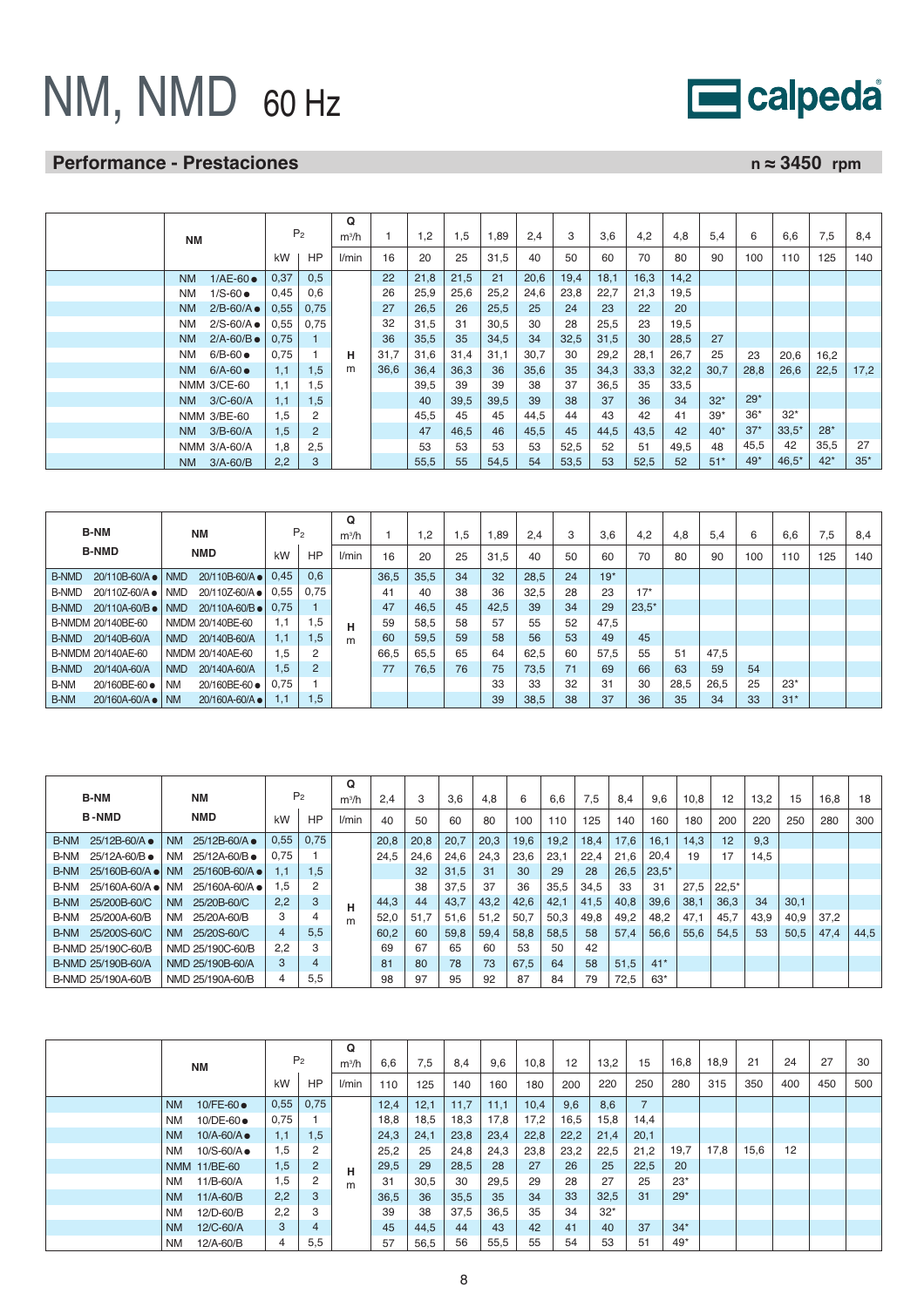# NM, NMD 60 Hz

# **Performance - Prestaciones n** ≈ 3450 rpm

| ΝM                                  | P <sub>2</sub> |                | Q<br>$m^3/h$ |      | 1,2  | 1,5  | 1,89 | 2.4  | 3    | 3,6  | 4,2  | 4,8  | 5.4   | 6     | 6.6     | 7,5   | 8,4   |
|-------------------------------------|----------------|----------------|--------------|------|------|------|------|------|------|------|------|------|-------|-------|---------|-------|-------|
|                                     | kW             | <b>HP</b>      | l/min        | 16   | 20   | 25   | 31,5 | 40   | 50   | 60   | 70   | 80   | 90    | 100   | 110     | 125   | 140   |
| $1/AE-60$<br><b>NM</b>              | 0,37           | 0.5            |              | 22   | 21,8 | 21,5 | 21   | 20,6 | 19,4 | 18,1 | 16,3 | 14,2 |       |       |         |       |       |
| $1/S-60$ $\bullet$<br><b>NM</b>     | 0,45           | 0,6            |              | 26   | 25,9 | 25,6 | 25,2 | 24,6 | 23,8 | 22,7 | 21,3 | 19,5 |       |       |         |       |       |
| $2/B-60/A$ $\bullet$<br><b>NM</b>   | 0,55           | 0,75           |              | 27   | 26,5 | 26   | 25,5 | 25   | 24   | 23   | 22   | 20   |       |       |         |       |       |
| $2/S-60/A$ $\bullet$<br><b>NM</b>   | 0,55           | 0,75           |              | 32   | 31,5 | 31   | 30,5 | 30   | 28   | 25,5 | 23   | 19,5 |       |       |         |       |       |
| $2/A - 60/B$ $\bullet$<br><b>NM</b> | 0,75           |                |              | 36   | 35,5 | 35   | 34,5 | 34   | 32,5 | 31,5 | 30   | 28,5 | 27    |       |         |       |       |
| $6/B-60$<br><b>NM</b>               | 0,75           |                | н            | 31,7 | 31,6 | 31,4 | 31,1 | 30,7 | 30   | 29,2 | 28,1 | 26,7 | 25    | 23    | 20,6    | 16,2  |       |
| $6/A - 60$<br><b>NM</b>             | 1,1            | 1.5            | m            | 36,6 | 36,4 | 36,3 | 36   | 35,6 | 35   | 34,3 | 33,3 | 32,2 | 30,7  | 28,8  | 26,6    | 22,5  | 17,2  |
| NMM 3/CE-60                         | 1.1            | 1,5            |              |      | 39,5 | 39   | 39   | 38   | 37   | 36,5 | 35   | 33,5 |       |       |         |       |       |
| $3/C-60/A$<br>NM.                   | 1,1            | 1,5            |              |      | 40   | 39,5 | 39,5 | 39   | 38   | 37   | 36   | 34   | $32*$ | $29*$ |         |       |       |
| NMM 3/BE-60                         | 1,5            | 2              |              |      | 45,5 | 45   | 45   | 44,5 | 44   | 43   | 42   | 41   | $39*$ | $36*$ | $32*$   |       |       |
| $3/B-60/A$<br><b>NM</b>             | 1,5            | $\overline{2}$ |              |      | 47   | 46,5 | 46   | 45,5 | 45   | 44,5 | 43,5 | 42   | $40*$ | $37*$ | $33.5*$ | $28*$ |       |
| NMM 3/A-60/A                        | 1,8            | 2,5            |              |      | 53   | 53   | 53   | 53   | 52,5 | 52   | 51   | 49,5 | 48    | 45,5  | 42      | 35,5  | 27    |
| $3/A - 60/B$<br><b>NM</b>           | 2,2            | 3              |              |      | 55,5 | 55   | 54,5 | 54   | 53,5 | 53   | 52,5 | 52   | $51*$ | $49*$ | $46.5*$ | $42*$ | $35*$ |

|              | <b>B-NM</b>                  |            | ΝM                         |           | P <sub>2</sub> | $\Omega$<br>$m^3/h$ |      | $\overline{2}$ | 1.5 | 1,89 | 2.4  | 3  | 3.6   | 4.2     | 4,8  | 5.4  | 6   | 6.6   | 7.5 | 8.4 |
|--------------|------------------------------|------------|----------------------------|-----------|----------------|---------------------|------|----------------|-----|------|------|----|-------|---------|------|------|-----|-------|-----|-----|
|              | <b>B-NMD</b>                 |            | <b>NMD</b>                 | kW        | HP             | l/min               | 16   | 20             | 25  | 31.5 | 40   | 50 | 60    | 70      | 80   | 90   | 100 | 110   | 125 | 140 |
| <b>B-NMD</b> | 20/110B-60/A ● NMD           |            | 20/110B-60/A ●             | 0.45      | 0.6            |                     | 36.5 | 35,5           | 34  | 32   | 28,5 | 24 | $19*$ |         |      |      |     |       |     |     |
| <b>B-NMD</b> | $20/110Z - 60/A$ $\bullet$   | NMD        | 20/110Z-60/A •             | 0,55      | 0.75           |                     | 41   | 40             | 38  | 36   | 32,5 | 28 | 23    | $17*$   |      |      |     |       |     |     |
| B-NMD        | $20/110A-60/B$ $\bullet$ NMD |            | $20/110A - 60/B$ $\bullet$ | 0.75      |                |                     | 47   | 46,5           | 45  | 42,5 | 39   | 34 | 29    | $23.5*$ |      |      |     |       |     |     |
|              | B-NMDM 20/140BE-60           |            | NMDM 20/140BE-60           | 1.1       | 1,5            | н                   | 59   | 58,5           | 58  | 57   | 55   | 52 | 47,5  |         |      |      |     |       |     |     |
| B-NMD        | 20/140B-60/A                 | <b>NMD</b> | 20/140B-60/A               | 1,1       | 1,5            | m                   | 60   | 59,5           | 59  | 58   | 56   | 53 | 49    | 45      |      |      |     |       |     |     |
|              | B-NMDM 20/140AE-60           |            | NMDM 20/140AE-60           | 1,5       | 2              |                     | 66.5 | 65,5           | 65  | 64   | 62,5 | 60 | 57,5  | 55      | 51   | 47,5 |     |       |     |     |
| <b>B-NMD</b> | 20/140A-60/A                 | <b>NMD</b> | 20/140A-60/A               | 1,5       | 2              |                     | 77   | 76.5           | 76  | 75   | 73.5 | 71 | 69    | 66      | 63   | 59   | 54  |       |     |     |
| <b>B-NM</b>  | 20/160BE-60 ●                | <b>NM</b>  | 20/160BE-60 ●              | 0.75      |                |                     |      |                |     | 33   | 33   | 32 | 31    | 30      | 28.5 | 26,5 | 25  | $23*$ |     |     |
| <b>B-NM</b>  | 20/160A-60/A • NM            |            | 20/160A-60/A ●             | $\cdot$ 1 | 1,5            |                     |      |                |     | 39   | 38,5 | 38 | 37    | 36      | 35   | 34   | 33  | $31*$ |     |     |

|             | <b>B-NM</b>        |           | ΝM                         |      | P <sub>2</sub> | Q<br>$m^3/h$ | 2.4  | 3    | 3.6  | 4.8  | 6    | 6,6  | 7.5  | 8.4  | 9,6     | 10,8 | 12      | 13,2 | 15   | 16,8 | 18   |
|-------------|--------------------|-----------|----------------------------|------|----------------|--------------|------|------|------|------|------|------|------|------|---------|------|---------|------|------|------|------|
|             | <b>B-NMD</b>       |           | <b>NMD</b>                 | kW   | HP             | l/min        | 40   | 50   | 60   | 80   | 100  | 110  | 125  | 140  | 160     | 180  | 200     | 220  | 250  | 280  | 300  |
| <b>B-NM</b> | 25/12B-60/A ●      | <b>NM</b> | 25/12B-60/A ●              | 0,55 | 0.75           |              | 20,8 | 20,8 | 20,7 | 20,3 | 19,6 | 19,2 | 18.4 | 17.6 | 16.1    | 14,3 | 12      | 9,3  |      |      |      |
| <b>B-NM</b> | 25/12A-60/B ●      | <b>NM</b> | 25/12A-60/B ●              | 0.75 |                |              | 24,5 | 24,6 | 24,6 | 24.3 | 23,6 | 23,1 | 22,4 | 21,6 | 20.4    | 19   | 17      | 14,5 |      |      |      |
| <b>B-NM</b> | $25/160B - 60/A$   | <b>NM</b> | $25/160B - 60/A$           | ا. ا | 1.5            |              |      | 32   | 31.5 | 31   | 30   | 29   | 28   | 26.5 | $23.5*$ |      |         |      |      |      |      |
| B-NM        | $25/160A-60/A$ e   | <b>NM</b> | $25/160A - 60/A$ $\bullet$ | 5. ا | 2              |              |      | 38   | 37.5 | 37   | 36   | 35,5 | 34,5 | 33   | 31      | 27,5 | $22.5*$ |      |      |      |      |
| <b>B-NM</b> | 25/200B-60/C       | <b>NM</b> | 25/20B-60/C                | 2.2  | 3              | н            | 44,3 | 44   | 43,7 | 43,2 | 42,6 | 42,1 | 41,5 | 40,8 | 39,6    | 38,1 | 36.3    | 34   | 30,1 |      |      |
| B-NM        | 25/200A-60/B       | <b>NM</b> | 25/20A-60/B                | 3    | 4              | m            | 52,0 | 51,7 | 51.6 | 51,2 | 50,7 | 50,3 | 49,8 | 49,2 | 48,2    | 47,1 | 45.7    | 43,9 | 40,9 | 37,2 |      |
|             | B-NM 25/200S-60/C  | NM        | 25/20S-60/C                | 4    | 5.5            |              | 60.2 | 60   | 59.8 | 59,4 | 58.8 | 58.5 | 58   | 57.4 | 56,6    | 55,6 | 54.5    | 53   | 50,5 | 47,4 | 44,5 |
|             | B-NMD 25/190C-60/B |           | NMD 25/190C-60/B           | 2.2  | 3              |              | 69   | 67   | 65   | 60   | 53   | 50   | 42   |      |         |      |         |      |      |      |      |
|             | B-NMD 25/190B-60/A |           | NMD 25/190B-60/A           | 3    | 4              |              | 81   | 80   | 78   | 73   | 67.5 | 64   | 58   | 51,5 | $41*$   |      |         |      |      |      |      |
|             | B-NMD 25/190A-60/B |           | NMD 25/190A-60/B           | 4    | 5.5            |              | 98   | 97   | 95   | 92   | 87   | 84   | 79   | 72,5 | $63*$   |      |         |      |      |      |      |

|           | ΝM                 |      | P <sub>2</sub> | Q<br>$m^3/h$ | 6.6  | 7,5  | 8,4  | 9,6  | 10,8 | 12   | 13,2  | 15   | 16,8  | 18,9 | 21   | 24  | 27  | 30  |
|-----------|--------------------|------|----------------|--------------|------|------|------|------|------|------|-------|------|-------|------|------|-----|-----|-----|
|           |                    | kW   | <b>HP</b>      | l/min        | 110  | 125  | 140  | 160  | 180  | 200  | 220   | 250  | 280   | 315  | 350  | 400 | 450 | 500 |
| <b>NM</b> | 10/FE-60 $\bullet$ | 0,55 | 0,75           |              | 12.4 | 12,1 | 11,7 | 11,1 | 10,4 | 9,6  | 8,6   | 7    |       |      |      |     |     |     |
| NM        | 10/DE-60 ●         | 0.75 |                |              | 18.8 | 18,5 | 18,3 | 17,8 | 17,2 | 16,5 | 15,8  | 14,4 |       |      |      |     |     |     |
| <b>NM</b> | $10/A - 60/A$      | 1.1  | 1.5            |              | 24.3 | 24,1 | 23,8 | 23,4 | 22,8 | 22,2 | 21,4  | 20,1 |       |      |      |     |     |     |
| <b>NM</b> | 10/S-60/A ●        | 1.5  | 2              |              | 25.2 | 25   | 24,8 | 24,3 | 23,8 | 23,2 | 22,5  | 21,2 | 19.7  | 17,8 | 15,6 | 12  |     |     |
|           | NMM 11/BE-60       | 1,5  | $\overline{2}$ | н            | 29,5 | 29   | 28,5 | 28   | 27   | 26   | 25    | 22,5 | 20    |      |      |     |     |     |
| NM        | 11/B-60/A          | 1,5  | 2              | m            | 31   | 30,5 | 30   | 29,5 | 29   | 28   | 27    | 25   | $23*$ |      |      |     |     |     |
| <b>NM</b> | $11/A-60/B$        | 2.2  | 3              |              | 36.5 | 36   | 35,5 | 35   | 34   | 33   | 32,5  | 31   | $29*$ |      |      |     |     |     |
| <b>NM</b> | 12/D-60/B          | 2,2  | 3              |              | 39   | 38   | 37,5 | 36,5 | 35   | 34   | $32*$ |      |       |      |      |     |     |     |
| <b>NM</b> | 12/C-60/A          | 3    | 4              |              | 45   | 44,5 | 44   | 43   | 42   | 41   | 40    | 37   | $34*$ |      |      |     |     |     |
| NM        | 12/A-60/B          | 4    | 5,5            |              | 57   | 56,5 | 56   | 55,5 | 55   | 54   | 53    | 51   | $49*$ |      |      |     |     |     |

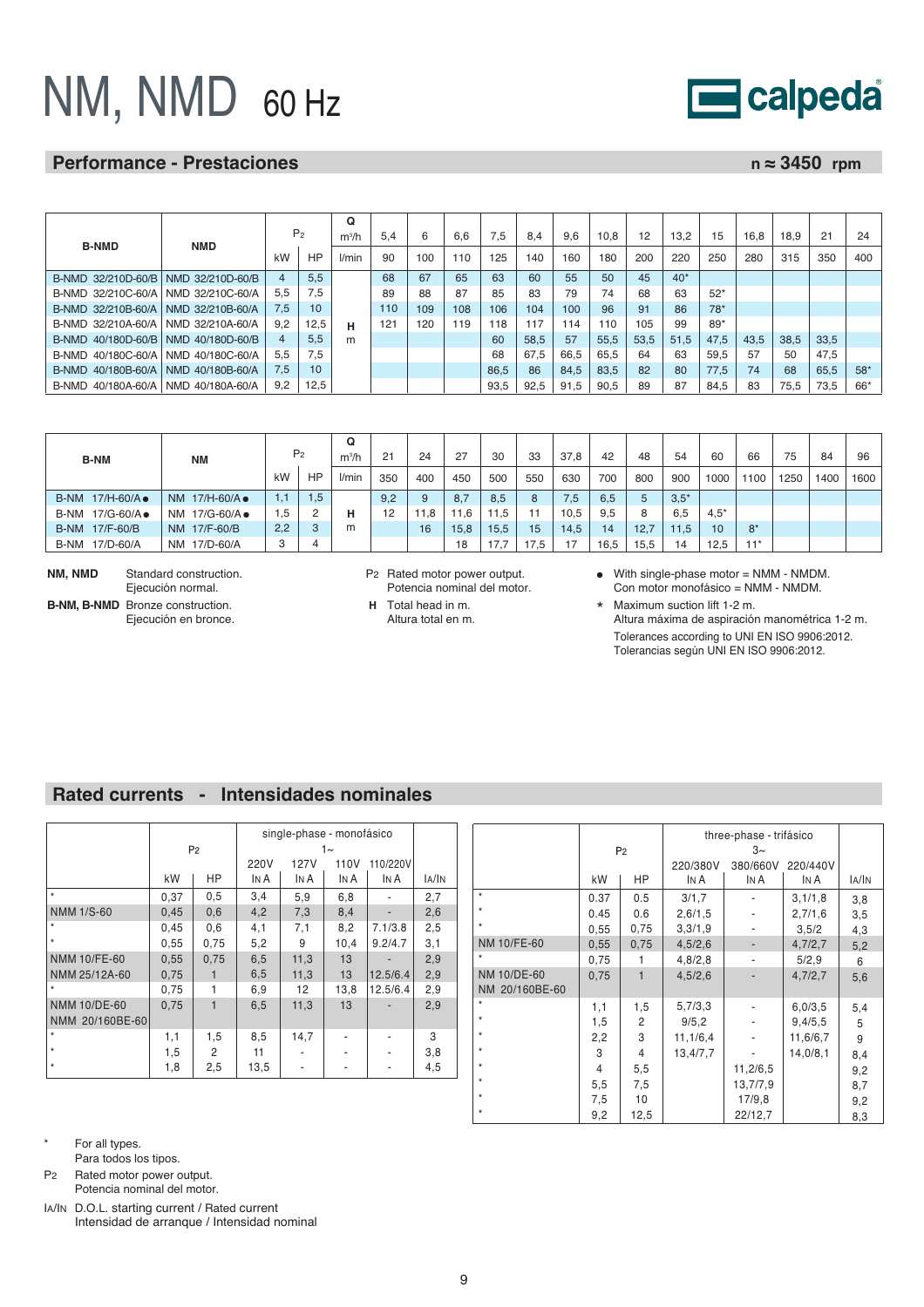# NM, NMD 60 Hz

# **Performance - Prestaciones n** ≈ 3450 rpm

calpeda

|                    |                  |     |                | $\Omega$ |     |     |     |      |      |      |      |      |       |       |      |      |      |       |
|--------------------|------------------|-----|----------------|----------|-----|-----|-----|------|------|------|------|------|-------|-------|------|------|------|-------|
| <b>B-NMD</b>       | <b>NMD</b>       |     | P <sub>2</sub> | $m^3/h$  | 5.4 | 6   | 6.6 | 7.5  | 8.4  | 9.6  | 10.8 | 12   | 13.2  | 15    | 16.8 | 18.9 | 21   | 24    |
|                    |                  | kW  | HP             | l/min    | 90  | 100 | 110 | 125  | 140  | 160  | 180  | 200  | 220   | 250   | 280  | 315  | 350  | 400   |
| B-NMD 32/210D-60/B | NMD 32/210D-60/B |     | 5.5            |          | 68  | 67  | 65  | 63   | 60   | 55   | 50   | 45   | $40*$ |       |      |      |      |       |
| B-NMD 32/210C-60/A | NMD 32/210C-60/A | 5,5 | 7.5            |          | 89  | 88  | 87  | 85   | 83   | 79   | 74   | 68   | 63    | $52*$ |      |      |      |       |
| B-NMD 32/210B-60/A | NMD 32/210B-60/A | 7.5 | 10             |          | 110 | 109 | 108 | 106  | 104  | 100  | 96   | 91   | 86    | $78*$ |      |      |      |       |
| B-NMD 32/210A-60/A | NMD 32/210A-60/A | 9.2 | 12,5           | н        | 121 | 120 | 119 | 118  | 117  | 14   | 110  | 105  | 99    | $89*$ |      |      |      |       |
| B-NMD 40/180D-60/B | NMD 40/180D-60/B | 4   | 5.5            | m        |     |     |     | 60   | 58,5 | 57   | 55,5 | 53,5 | 51.5  | 47.5  | 43.5 | 38,5 | 33,5 |       |
| B-NMD 40/180C-60/A | NMD 40/180C-60/A | 5.5 | 7,5            |          |     |     |     | 68   | 67.5 | 66.5 | 65.5 | 64   | 63    | 59.5  | 57   | 50   | 47.5 |       |
| B-NMD 40/180B-60/A | NMD 40/180B-60/A | 7.5 | 10             |          |     |     |     | 86.5 | 86   | 84.5 | 83.5 | 82   | 80    | 77,5  | 74   | 68   | 65,5 | $58*$ |
| B-NMD 40/180A-60/A | NMD 40/180A-60/A | 9.2 | 12,5           |          |     |     |     | 93,5 | 92,5 | 91,5 | 90.5 | 89   | 87    | 84,5  | 83   | 75.5 | 73,5 | 66*   |

| <b>B-NM</b>      |                          |     |                | Q       |     |      |                 |      |      |      |      |      |        |        |       |      |      |      |
|------------------|--------------------------|-----|----------------|---------|-----|------|-----------------|------|------|------|------|------|--------|--------|-------|------|------|------|
| ΝM               |                          |     | P <sub>2</sub> | $m^3/h$ | 21  | 24   | 27              | 30   | 33   | 37.8 | 42   | 48   | 54     | 60     | 66    | 75   | 84   | 96   |
|                  |                          | kW  | <b>HP</b>      | l/min   | 350 | 400  | 450             | 500  | 550  | 630  | 700  | 800  | 900    | 1000   | 100   | 1250 | 1400 | 1600 |
| B-NM 17/H-60/A • | NM 17/H-60/A •           | 1.1 | 1,5            |         | 9,2 | 9    | 8.7             | 8,5  | 8    | 7,5  | 6,5  | 5    | $3.5*$ |        |       |      |      |      |
| B-NM 17/G-60/A●  | 17/G-60/A ●<br><b>NM</b> | 1,5 | $\circ$<br>ے   |         | 12  | 11,8 | .6 <sub>1</sub> | 11,5 |      | 10,5 | 9,5  | 8    | 6,5    | $4.5*$ |       |      |      |      |
| B-NM 17/F-60/B   | NM 17/F-60/B             | 2,2 | 3              | m       |     | 16   | 15,8            | 15,5 | 15   | 14.5 | 14   | 12.7 | 11.5   | 10     | $8*$  |      |      |      |
| B-NM 17/D-60/A   | NM 17/D-60/A             | 3   | 4              |         |     |      | 18              | 17.7 | 17.5 | 17   | 16,5 | 15.5 | 14     | 12.5   | $11*$ |      |      |      |

**NM, NMD** Standard construction. Ejecución normal. **B-NM, B-NMD** Bronze construction.

Ejecución en bronce.

P2 Rated motor power output. Potencia nominal del motor.

- **H** Total head in m. Altura total en m.
- With single-phase motor = NMM NMDM. Con motor monofásico = NMM - NMDM.

\* Maximum suction lift 1-2 m. Altura máxima de aspiración manométrica 1-2 m. Tolerances according to UNI EN ISO 9906:2012. Tolerancias según UNI EN ISO 9906:2012.

## **Rated currents - Intensidades nominales**

|                                 |      | P <sub>2</sub> |              | single-phase - monofásico | 1∼           |                          |       |
|---------------------------------|------|----------------|--------------|---------------------------|--------------|--------------------------|-------|
|                                 | kW   | <b>HP</b>      | 220V<br>In A | 127V<br>IN A              | 110V<br>In A | 110/220V<br>IN A         | IA/IN |
| $\star$                         | 0,37 | 0,5            | 3,4          | 5,9                       | 6,8          |                          | 2,7   |
| <b>NMM 1/S-60</b>               | 0,45 | 0,6            | 4,2          | 7,3                       | 8,4          | $\overline{\phantom{0}}$ |       |
| $\star$                         |      |                |              |                           |              |                          | 2,6   |
|                                 | 0,45 | 0,6            | 4,1          | 7,1                       | 8,2          | 7.1/3.8                  | 2,5   |
| $\star$                         | 0,55 | 0,75           | 5,2          | 9                         | 10,4         | 9.2/4.7                  | 3,1   |
| <b>NMM 10/FE-60</b>             | 0,55 | 0,75           | 6,5          | 11,3                      | 13           |                          | 2,9   |
| NMM 25/12A-60                   | 0,75 | $\mathbf{1}$   | 6,5          | 11,3                      | 13           | 12.5/6.4                 | 2,9   |
| $\star$                         | 0,75 | 1              | 6,9          | 12                        | 13,8         | 12.5/6.4                 | 2,9   |
| NMM 10/DE-60<br>NMM 20/160BE-60 | 0,75 | $\mathbf{1}$   | 6,5          | 11,3                      | 13           |                          | 2,9   |
| $\star$                         | 1,1  | 1,5            | 8,5          | 14,7                      |              |                          | 3     |
| $\star$                         | 1,5  | 2              | 11           |                           |              |                          | 3,8   |
| $\star$                         | 1,8  | 2,5            | 13,5         | ٠                         |              | ۰                        | 4,5   |

|                |      |                |            | three-phase - trifásico |          |       |
|----------------|------|----------------|------------|-------------------------|----------|-------|
|                |      | P <sub>2</sub> |            | $3\sim$                 |          |       |
|                |      |                | 220/380V   | 380/660V                | 220/440V |       |
|                | kW   | HP             | In A       | IN A                    | In A     | IA/IN |
| $^\star$       | 0.37 | 0.5            | 3/1,7      |                         | 3,1/1,8  | 3,8   |
| $\star$        | 0.45 | 0.6            | 2,6/1,5    |                         | 2,7/1,6  | 3,5   |
| $\star$        | 0,55 | 0.75           | 3,3/1,9    |                         | 3,5/2    | 4,3   |
| NM 10/FE-60    | 0,55 | 0,75           | 4,5/2,6    |                         | 4,7/2,7  | 5,2   |
| $\star$        | 0,75 | 1              | 4,8/2,8    |                         | 5/2,9    | 6     |
| NM 10/DE-60    | 0,75 | $\mathbf{1}$   | 4,5/2,6    |                         | 4,7/2,7  | 5,6   |
| NM 20/160BE-60 |      |                |            |                         |          |       |
| $\star$        | 1,1  | 1,5            | 5,7/3,3    |                         | 6,0/3,5  | 5,4   |
| $\star$        | 1,5  | 2              | 9/5, 2     |                         | 9,4/5,5  | 5     |
| $\star$        | 2,2  | 3              | 11, 1/6, 4 |                         | 11,6/6,7 | 9     |
| $\star$        | 3    | 4              | 13,4/7,7   |                         | 14,0/8,1 | 8,4   |
| $\star$        | 4    | 5,5            |            | 11,2/6,5                |          | 9,2   |
| $\star$        | 5,5  | 7,5            |            | 13,7/7,9                |          | 8,7   |
| $\star$        | 7,5  | 10             |            | 17/9.8                  |          | 9,2   |
| *              | 9,2  | 12,5           |            | 22/12,7                 |          | 8,3   |

\* For all types.

Para todos los tipos.

P2 Rated motor power output. Potencia nominal del motor.

IA/IN D.O.L. starting current / Rated current Intensidad de arranque / Intensidad nominal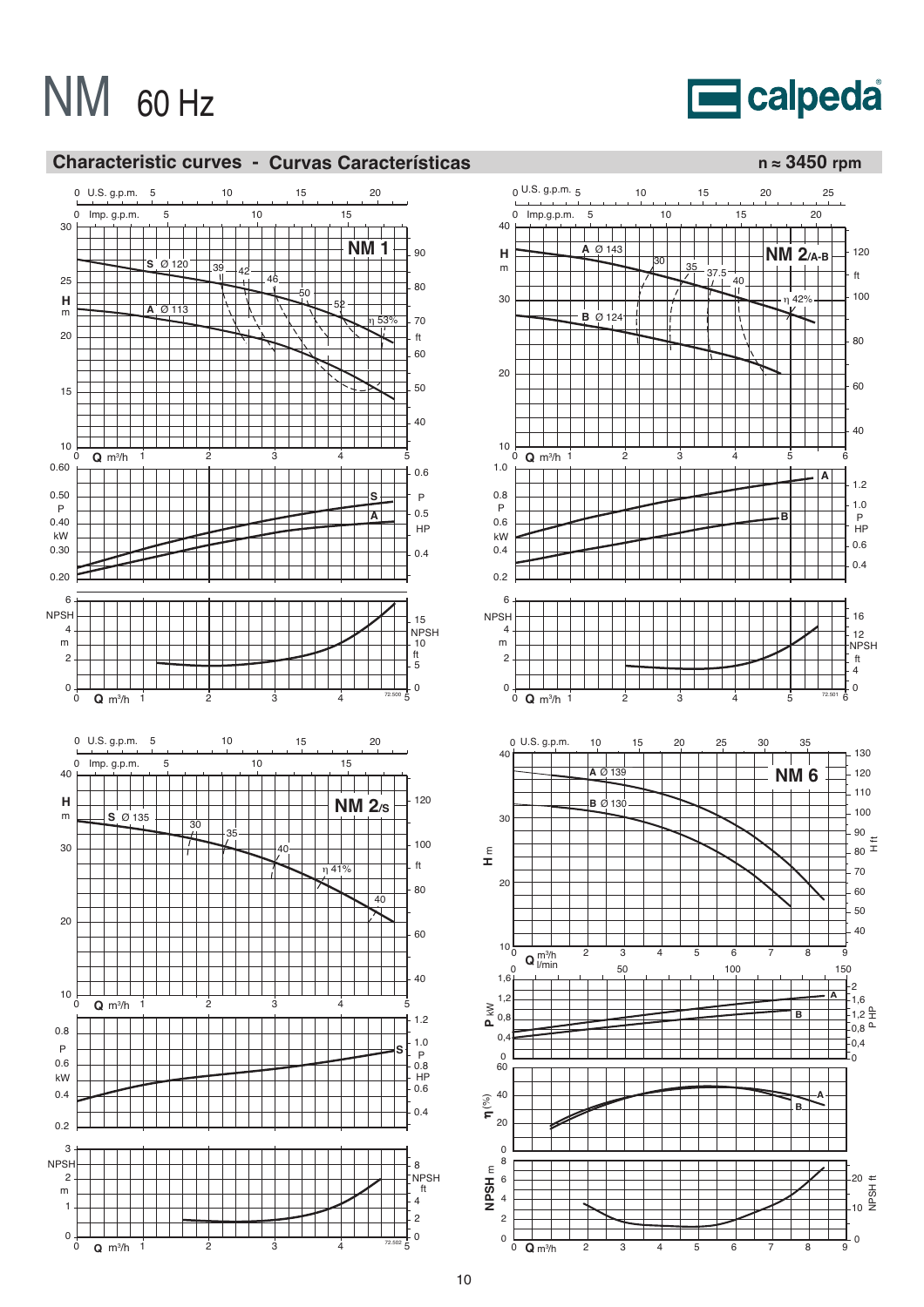**E**calpeda



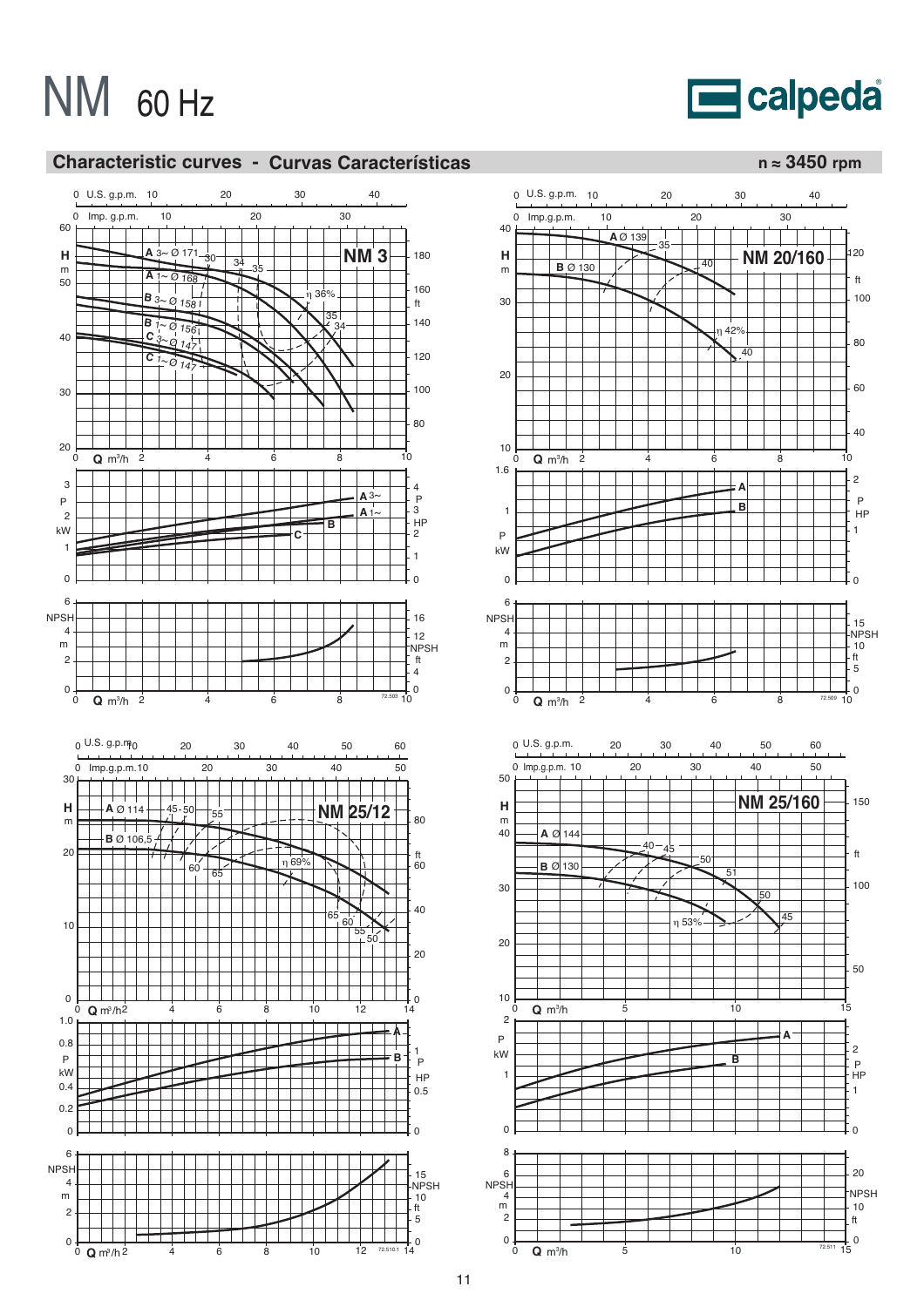# **E**calpeda



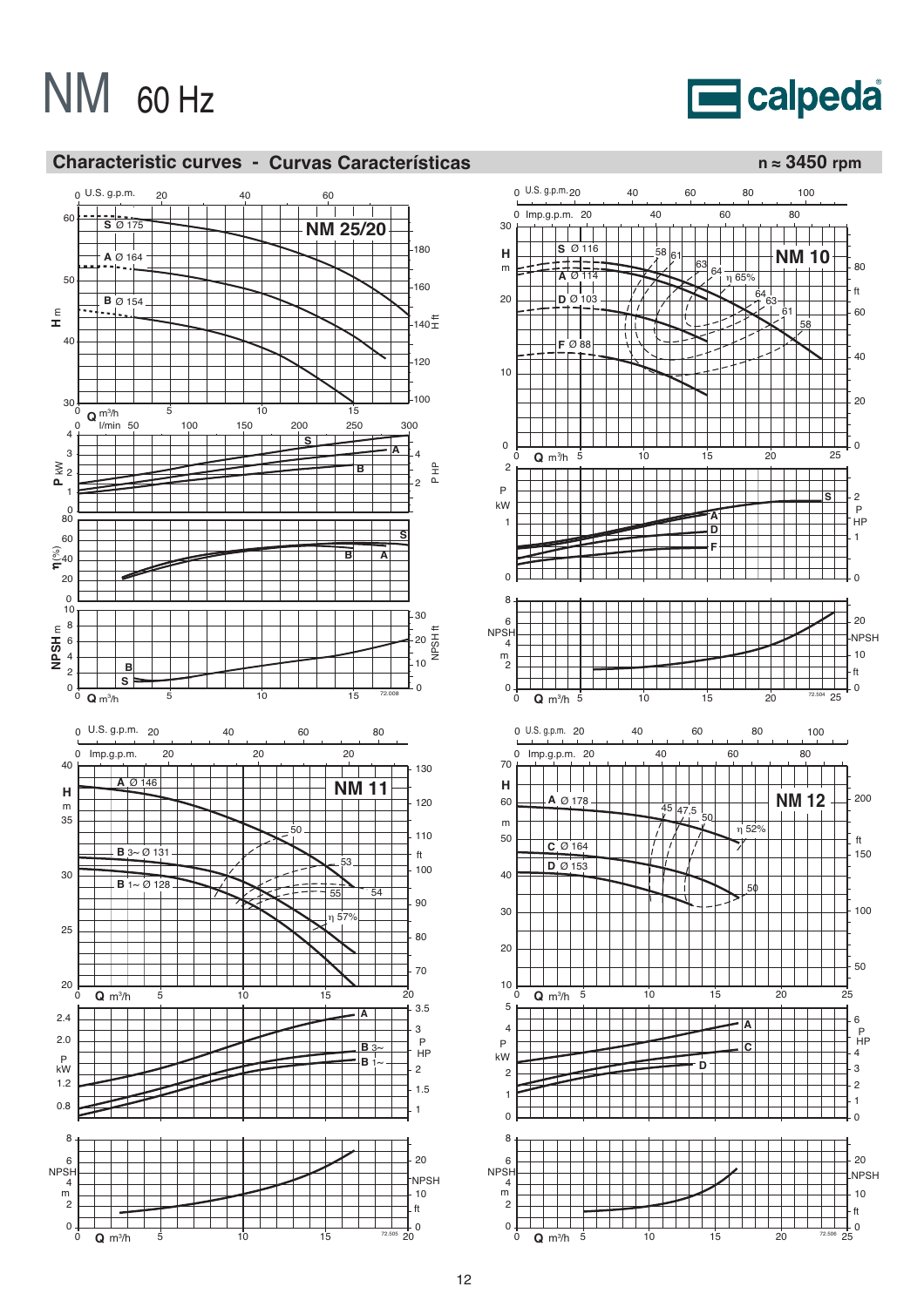**E**calpeda



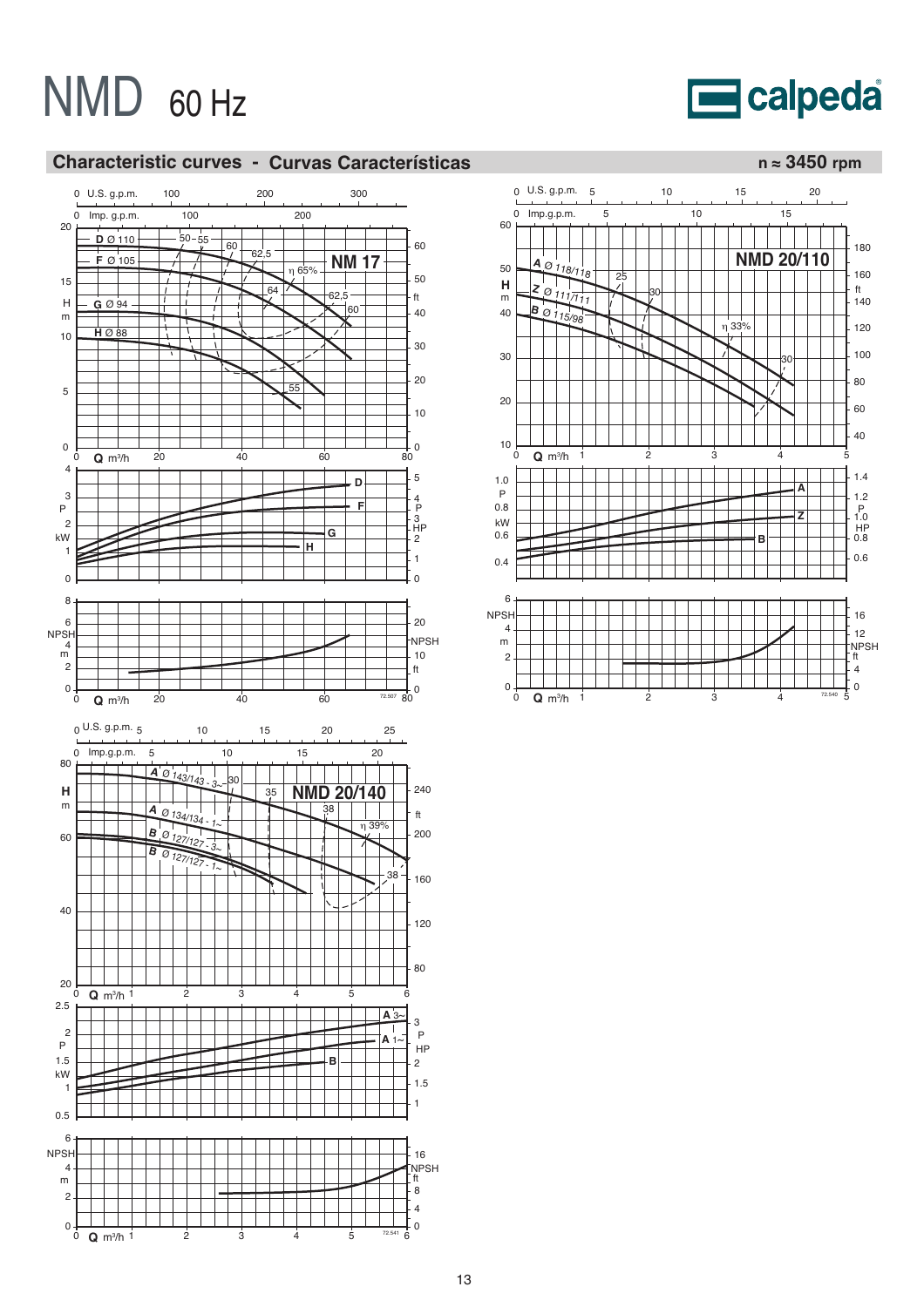



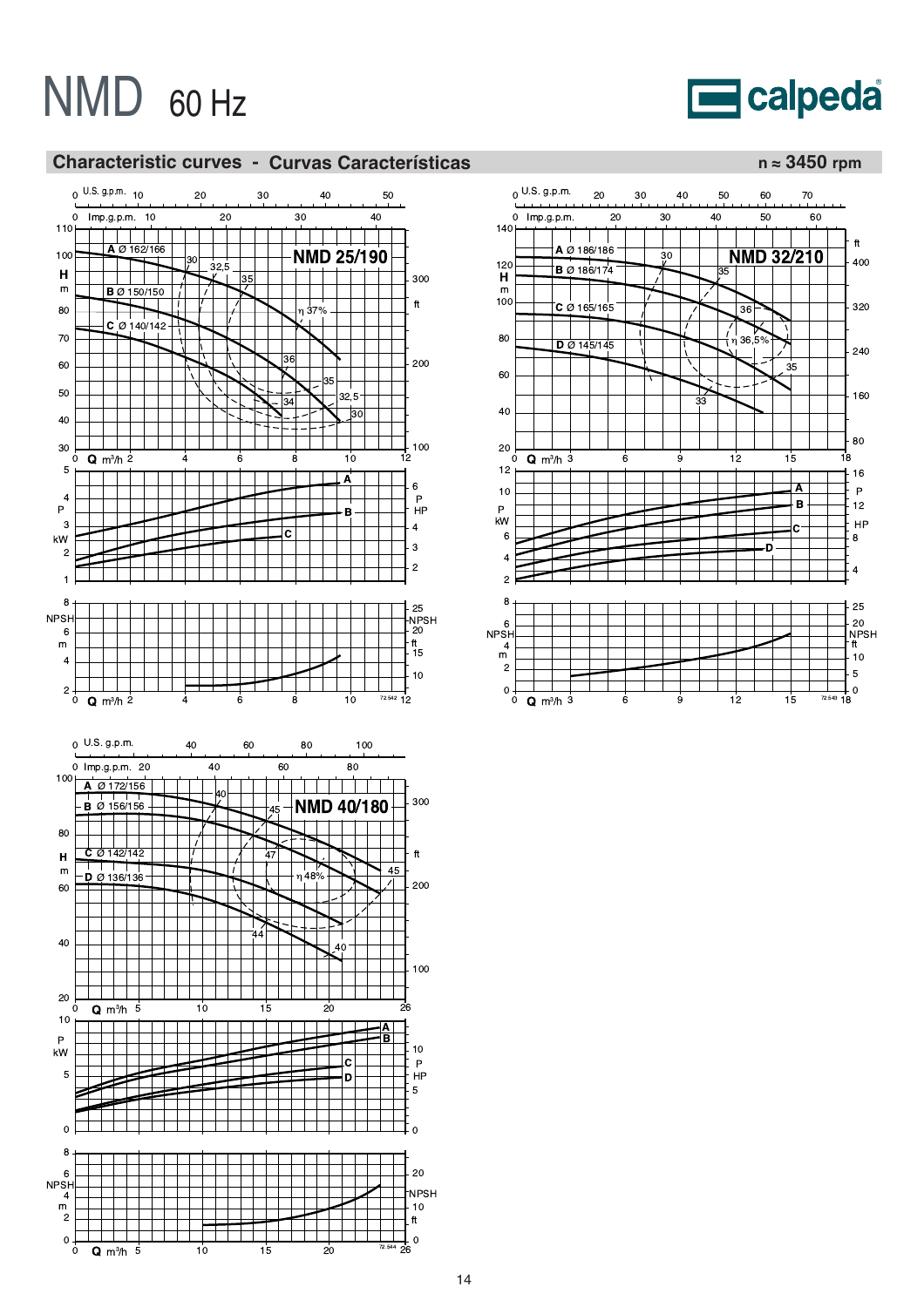# **E**calpeda



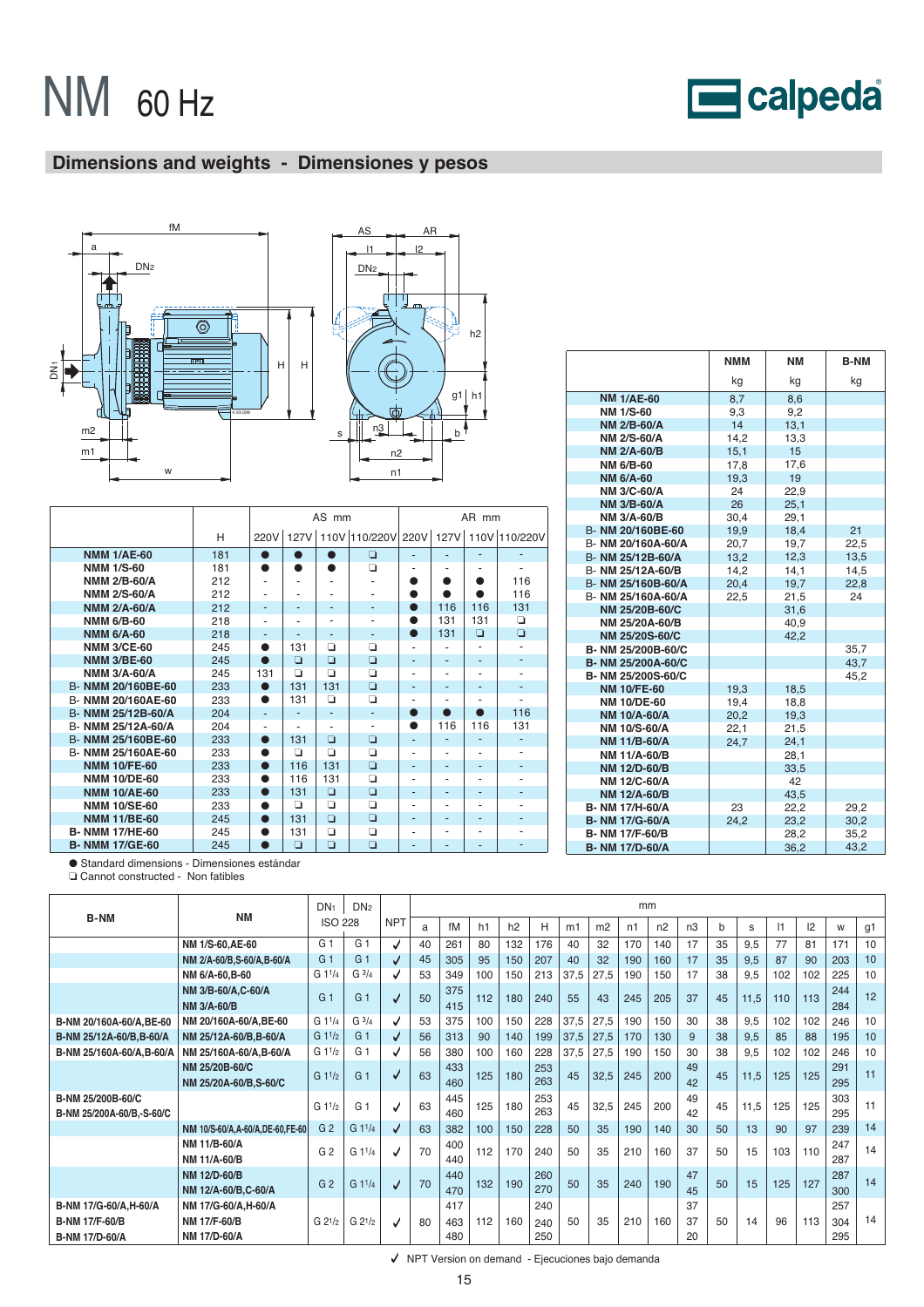# calpeda

# **Dimensions and weights - Dimensiones y pesos**





|                       |     |           |           | AS mm     |                                            |           |     | AR mm |        |
|-----------------------|-----|-----------|-----------|-----------|--------------------------------------------|-----------|-----|-------|--------|
|                       | н   | 220V      |           |           | 127V 110V 110/220V 220V 127V 110V 110/220V |           |     |       |        |
| <b>NMM 1/AE-60</b>    | 181 | $\bullet$ | $\bullet$ | $\bullet$ | ▫                                          | ٠         | ٠   | ٠     | ٠      |
| <b>NMM 1/S-60</b>     | 181 | $\bullet$ | Δ         | ●         | ▫                                          | ۰         |     |       | ٠      |
| <b>NMM 2/B-60/A</b>   | 212 | ٠         |           |           |                                            | n         |     |       | 116    |
| <b>NMM 2/S-60/A</b>   | 212 |           |           | ۰         |                                            | ●         |     |       | 116    |
| <b>NMM 2/A-60/A</b>   | 212 | ۰         |           | ٠         | ٠                                          | $\bullet$ | 116 | 116   | 131    |
| <b>NMM 6/B-60</b>     | 218 | ٠         |           | ٠         |                                            | $\bullet$ | 131 | 131   | о      |
| <b>NMM 6/A-60</b>     | 218 | ٠         |           | ٠         | ٠                                          | $\bullet$ | 131 | ▫     | $\Box$ |
| <b>NMM 3/CE-60</b>    | 245 | ●         | 131       | $\Box$    | ▫                                          | ٠         |     | ٠     | ٠      |
| <b>NMM 3/BE-60</b>    | 245 | $\bullet$ | ▫         | $\Box$    | ▫                                          | ٠         | ٠   | ۰     | ٠      |
| <b>NMM 3/A-60/A</b>   | 245 | 131       | ◘         | o         | ◘                                          | ٠         |     | ٠     |        |
| B- NMM 20/160BE-60    | 233 | $\bullet$ | 131       | 131       | o                                          | ٠         | ٠   | ٠     |        |
| B- NMM 20/160AE-60    | 233 | $\bullet$ | 131       | o         | ▫                                          | ۰         |     |       |        |
| B- NMM 25/12B-60/A    | 204 | ۰         |           | ٠         | ٠                                          | $\bullet$ |     |       | 116    |
| B- NMM 25/12A-60/A    | 204 | ٠         |           |           | -                                          | ●         | 116 | 116   | 131    |
| B- NMM 25/160BE-60    | 233 | $\bullet$ | 131       | $\Box$    | ▫                                          | ٠         |     |       | ٠      |
| B- NMM 25/160AE-60    | 233 | $\bullet$ | ◘         | ◘         | ◘                                          | ٠         | ۰   | ٠     | ٠      |
| <b>NMM 10/FE-60</b>   | 233 | $\bullet$ | 116       | 131       | ▫                                          | ٠         | ٠   | ٠     | ٠      |
| <b>NMM 10/DE-60</b>   | 233 | $\bullet$ | 116       | 131       | o                                          | ٠         |     | -     | ٠      |
| <b>NMM 10/AE-60</b>   | 233 | $\bullet$ | 131       | o         | o                                          | ٠         |     |       |        |
| <b>NMM 10/SE-60</b>   | 233 | $\bullet$ | ◘         | o         | ◘                                          | ٠         |     |       |        |
| <b>NMM 11/BE-60</b>   | 245 | $\bullet$ | 131       | $\Box$    | ▫                                          | ٠         |     |       |        |
| <b>B-NMM 17/HE-60</b> | 245 | $\bullet$ | 131       | ◘         | ◘                                          | ٠         | ۰   | ٠     | ٠      |
| <b>B-NMM 17/GE-60</b> | 245 |           | ▫         | $\Box$    | $\Box$                                     | ٠         |     | ٠     | ٠      |

|                       | <b>NMM</b> | <b>NM</b> | <b>B-NM</b> |
|-----------------------|------------|-----------|-------------|
|                       | kg         | kg        | kg          |
| <b>NM 1/AE-60</b>     | 8,7        | 8,6       |             |
| <b>NM 1/S-60</b>      | 9,3        | 9,2       |             |
| NM 2/B-60/A           | 14         | 13,1      |             |
| NM 2/S-60/A           | 14,2       | 13,3      |             |
| <b>NM 2/A-60/B</b>    | 15,1       | 15        |             |
| NM 6/B-60             | 17,8       | 17,6      |             |
| <b>NM 6/A-60</b>      | 19,3       | 19        |             |
| NM 3/C-60/A           | 24         | 22,9      |             |
| NM 3/B-60/A           | 26         | 25,1      |             |
| NM 3/A-60/B           | 30,4       | 29,1      |             |
| B- NM 20/160BE-60     | 19,9       | 18,4      | 21          |
| B- NM 20/160A-60/A    | 20.7       | 19,7      | 22,5        |
| B- NM 25/12B-60/A     | 13,2       | 12,3      | 13,5        |
| B- NM 25/12A-60/B     | 14,2       | 14,1      | 14,5        |
| B- NM 25/160B-60/A    | 20,4       | 19,7      | 22,8        |
| B- NM 25/160A-60/A    | 22,5       | 21,5      | 24          |
| NM 25/20B-60/C        |            | 31,6      |             |
| NM 25/20A-60/B        |            | 40.9      |             |
| NM 25/20S-60/C        |            | 42.2      |             |
| B- NM 25/200B-60/C    |            |           | 35,7        |
| B- NM 25/200A-60/C    |            |           | 43,7        |
| B- NM 25/200S-60/C    |            |           | 45,2        |
| <b>NM 10/FE-60</b>    | 19,3       | 18,5      |             |
| NM 10/DE-60           | 19,4       | 18,8      |             |
| <b>NM 10/A-60/A</b>   | 20.2       | 19,3      |             |
| NM 10/S-60/A          | 22,1       | 21,5      |             |
| <b>NM 11/B-60/A</b>   | 24.7       | 24.1      |             |
| NM 11/A-60/B          |            | 28,1      |             |
| NM 12/D-60/B          |            | 33,5      |             |
| NM 12/C-60/A          |            | 42        |             |
| NM 12/A-60/B          |            | 43,5      |             |
| B- NM 17/H-60/A       | 23         | 22,2      | 29,2        |
| <b>B-NM 17/G-60/A</b> | 24.2       | 23,2      | 30,2        |
| B- NM 17/F-60/B       |            | 28,2      | 35,2        |
| <b>B-NM 17/D-60/A</b> |            | 36.2      | 43.2        |

● Standard dimensions - Dimensiones estándar

❏ Cannot constructed - Non fatibles

| <b>B-NM</b>                                    |                                          | DN <sub>1</sub>                   | DN <sub>2</sub>                   |              |    |            |                |     |            |                |                | mm  |     |                |    |      |     |             |            |    |  |  |  |
|------------------------------------------------|------------------------------------------|-----------------------------------|-----------------------------------|--------------|----|------------|----------------|-----|------------|----------------|----------------|-----|-----|----------------|----|------|-----|-------------|------------|----|--|--|--|
|                                                | <b>NM</b>                                | <b>ISO 228</b>                    |                                   | <b>NPT</b>   | a  | fM         | h <sub>1</sub> | h2  | н          | m <sub>1</sub> | m <sub>2</sub> | n1  | n2  | n <sub>3</sub> | b  | s    | 1   | $ 2\rangle$ | W          | g1 |  |  |  |
|                                                | NM 1/S-60.AE-60                          | G <sub>1</sub>                    | G <sub>1</sub>                    |              | 40 | 261        | 80             | 132 | 176        | 40             | 32             | 170 | 140 | 17             | 35 | 9.5  | 77  | 81          | 171        | 10 |  |  |  |
|                                                | NM 2/A-60/B, S-60/A, B-60/A              | G <sub>1</sub>                    | G <sub>1</sub>                    | $\checkmark$ | 45 | 305        | 95             | 150 | 207        | 40             | 32             | 190 | 160 | 17             | 35 | 9.5  | 87  | 90          | 203        | 10 |  |  |  |
|                                                | NM 6/A-60.B-60                           | G 1 <sup>1</sup> /4               | G <sup>3</sup> /4                 |              | 53 | 349        | 100            | 150 | 213        | 37,5           | 27,5           | 190 | 150 | 17             | 38 | 9.5  | 102 | 102         | 225        | 10 |  |  |  |
|                                                | NM 3/B-60/A, C-60/A                      | G <sub>1</sub>                    | G <sub>1</sub>                    |              | 50 | 375        | 112            | 180 | 240        | 55             | 43             | 245 | 205 | 37             | 45 | 11,5 | 110 | 113         | 244        | 12 |  |  |  |
|                                                | NM 3/A-60/B                              |                                   |                                   |              |    | 415        |                |     |            |                |                |     |     |                |    |      |     |             | 284        |    |  |  |  |
| B-NM 20/160A-60/A.BE-60                        | NM 20/160A-60/A.BE-60                    | G11/4                             | $G \frac{3}{4}$                   |              | 53 | 375        | 100            | 150 | 228        | 37,5           | 27,5           | 190 | 150 | 30             | 38 | 9.5  | 102 | 102         | 246        | 10 |  |  |  |
| B-NM 25/12A-60/B,B-60/A                        | NM 25/12A-60/B, B-60/A                   | G 1 <sup>1</sup> /2               | G <sub>1</sub>                    |              | 56 | 313        | 90             | 140 | 199        | 37,5           | 27,5           | 170 | 130 | 9              | 38 | 9,5  | 85  | 88          | 195        | 10 |  |  |  |
| B-NM 25/160A-60/A, B-60/A                      | NM 25/160A-60/A, B-60/A                  | G11/2                             | G <sub>1</sub>                    |              | 56 | 380        | 100            | 160 | 228        | 37,5           | 27,5           | 190 | 150 | 30             | 38 | 9.5  | 102 | 102         | 246        | 10 |  |  |  |
|                                                | NM 25/20B-60/C<br>NM 25/20A-60/B, S-60/C | $G$ 1 <sup>1</sup> / <sub>2</sub> | G <sub>1</sub>                    |              | 63 | 433<br>460 | 125            | 180 | 253<br>263 | 45             | 32,5           | 245 | 200 | 49<br>42       | 45 | 11,5 | 125 | 125         | 291<br>295 | 11 |  |  |  |
| B-NM 25/200B-60/C<br>B-NM 25/200A-60/B,-S-60/C |                                          | G11/2                             | G <sub>1</sub>                    |              | 63 | 445<br>460 | 125            | 180 | 253<br>263 | 45             | 32,5           | 245 | 200 | 49<br>42       | 45 | 11,5 | 125 | 125         | 303<br>295 | 11 |  |  |  |
|                                                | NM 10/S-60/A,A-60/A,DE-60,FE-60          | G <sub>2</sub>                    | $G$ 1 <sup>1</sup> / <sub>4</sub> | $\checkmark$ | 63 | 382        | 100            | 150 | 228        | 50             | 35             | 190 | 140 | 30             | 50 | 13   | 90  | 97          | 239        | 14 |  |  |  |
|                                                | NM 11/B-60/A<br>NM 11/A-60/B             | G <sub>2</sub>                    | G 1 <sup>1</sup> /4               | √            | 70 | 400<br>440 | 112            | 170 | 240        | 50             | 35             | 210 | 160 | 37             | 50 | 15   | 103 | 110         | 247<br>287 | 14 |  |  |  |
|                                                | NM 12/D-60/B                             | G <sub>2</sub>                    | $G1^{1/4}$                        |              |    | 440        |                |     | 260        |                |                |     |     | 47             |    |      |     |             | 287        | 14 |  |  |  |
|                                                | NM 12/A-60/B,C-60/A                      |                                   |                                   | J            | 70 | 470        | 132            | 190 | 270        | 50             | 35             | 240 | 190 | 45             | 50 | 15   | 125 | 127         | 300        |    |  |  |  |
| B-NM 17/G-60/A, H-60/A                         | NM 17/G-60/A, H-60/A                     |                                   |                                   |              |    | 417        |                |     | 240        |                |                |     |     | 37             |    |      |     |             | 257        |    |  |  |  |
| <b>B-NM 17/F-60/B</b>                          | NM 17/F-60/B                             | G 2 <sup>1</sup> /2               | G 2 <sup>1</sup> /2               | $\checkmark$ | 80 | 463        | 112            | 160 | 240        | 50             | 35             | 210 | 160 | 37             | 50 | 14   | 96  | 113         | 304        | 14 |  |  |  |
| <b>B-NM 17/D-60/A</b>                          | NM 17/D-60/A                             |                                   |                                   |              |    | 480        |                |     | 250        |                |                |     |     | 20             |    |      |     |             | 295        |    |  |  |  |

NPT Version on demand - Ejecuciones bajo demanda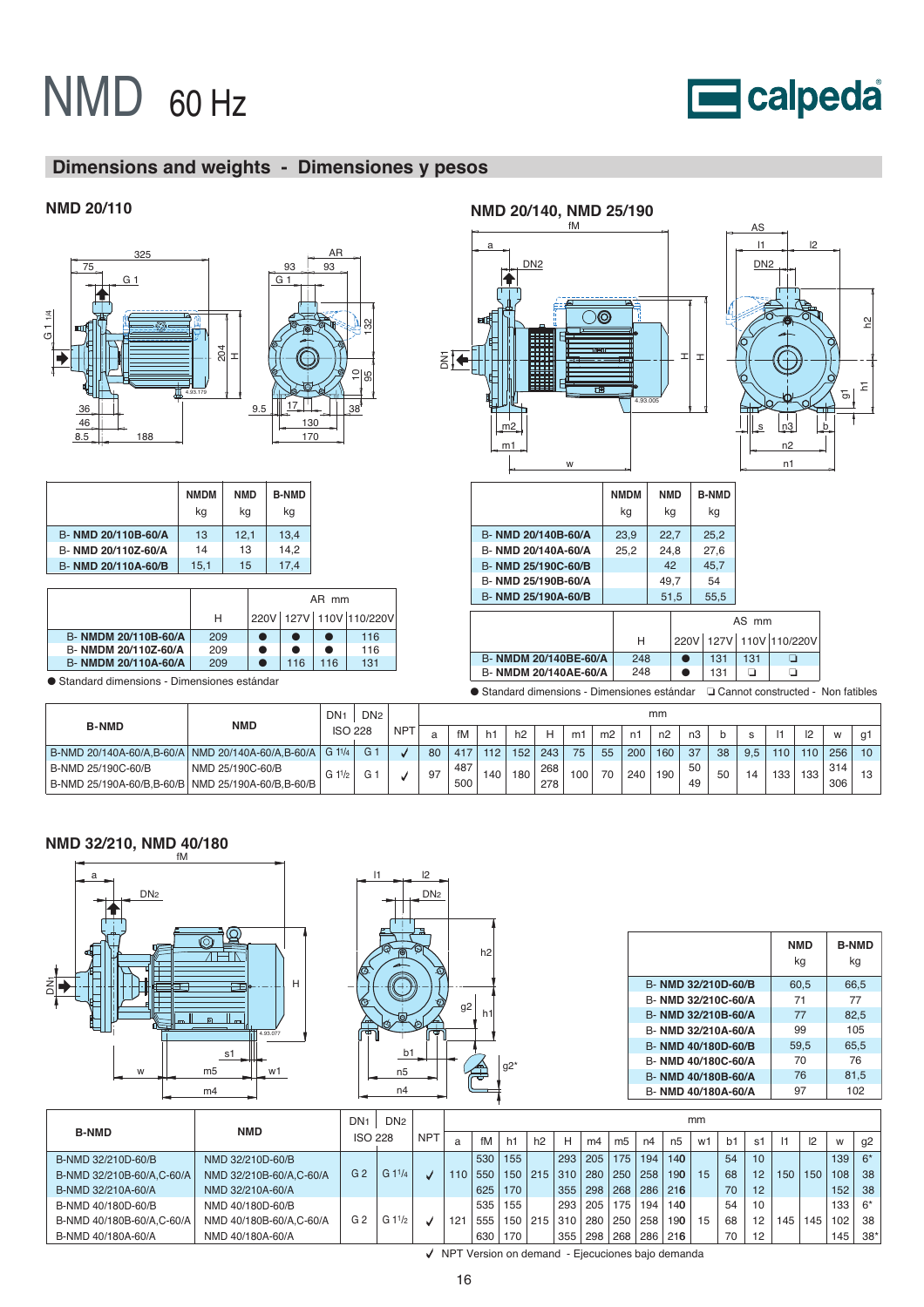

# **Dimensions and weights - Dimensiones y pesos**



|                                                       |                  | <b>DIV</b>     | DN <sub>2</sub> |            |    |     |     |     |     |                |                |     | ,,,,,, |                |    |     |                  |     |     |                 |  |  |  |  |  |  |
|-------------------------------------------------------|------------------|----------------|-----------------|------------|----|-----|-----|-----|-----|----------------|----------------|-----|--------|----------------|----|-----|------------------|-----|-----|-----------------|--|--|--|--|--|--|
| <b>B-NMD</b>                                          | NMD              | <b>ISO 228</b> |                 | <b>NPT</b> |    | fM  | h1  | h2  | H   | m <sup>-</sup> | m <sub>2</sub> | n1  | n2     | n <sub>3</sub> |    |     |                  | 12  | W   |                 |  |  |  |  |  |  |
| B-NMD 20/140A-60/A, B-60/A   NMD 20/140A-60/A, B-60/A |                  | $G1^{1/4}$     | G <sub>1</sub>  |            | 80 | 417 | 112 | 152 | 243 | 75             | 55             | 200 | 160    | 37             | 38 | 9.5 | 110 <sub>1</sub> | 110 | 256 | 10 <sup>1</sup> |  |  |  |  |  |  |
| B-NMD 25/190C-60/B                                    | NMD 25/190C-60/B | G 11/2         |                 |            | 97 | 487 | 140 | 180 | 268 | 100            | 70             | 240 | 190    | 50             | 50 |     | 133              | 133 | 314 |                 |  |  |  |  |  |  |
| B-NMD 25/190A-60/B.B-60/B   NMD 25/190A-60/B.B-60/B   |                  |                |                 |            |    | 500 |     |     | 278 |                |                |     |        | 49             |    |     |                  |     | 306 |                 |  |  |  |  |  |  |

#### fM **NMD 32/210, NMD 40/180**





 $|2$ 

|                     | <b>NMD</b><br>kq | <b>B-NMD</b><br>kg |
|---------------------|------------------|--------------------|
| B- NMD 32/210D-60/B | 60,5             | 66,5               |
| B- NMD 32/210C-60/A | 71               | 77                 |
| B- NMD 32/210B-60/A | 77               | 82,5               |
| B- NMD 32/210A-60/A | 99               | 105                |
| B- NMD 40/180D-60/B | 59.5             | 65.5               |
| B- NMD 40/180C-60/A | 70               | 76                 |
| B- NMD 40/180B-60/A | 76               | 81.5               |
| B- NMD 40/180A-60/A | 97               | 102                |

|                            |                         | DN <sub>1</sub> | DN <sub>2</sub> |              |     |     |                  |     |     |     | mm             |     |                  |    |    |                   |     |     |     |       |
|----------------------------|-------------------------|-----------------|-----------------|--------------|-----|-----|------------------|-----|-----|-----|----------------|-----|------------------|----|----|-------------------|-----|-----|-----|-------|
| <b>B-NMD</b>               | <b>NMD</b>              | <b>ISO 228</b>  |                 | <b>NPT</b>   | a   | fM  | h.               | h2  | н   | m4  | m <sub>5</sub> | n4  | n <sub>5</sub>   | w1 | b1 | s1                |     | 2   | W   | g2    |
| B-NMD 32/210D-60/B         | NMD 32/210D-60/B        |                 |                 |              |     | 530 | 155              |     | 293 | 205 | 175            | 194 | 140              |    | 54 | 10 <sup>1</sup>   |     |     | 139 | $6*$  |
| B-NMD 32/210B-60/A.C-60/A  | NMD 32/210B-60/A.C-60/A | G <sub>2</sub>  | G11/4           | $\mathbf{v}$ | 110 | 550 | 150 <sub>1</sub> | 215 | 310 | 280 | 250            | 258 | 190 <sub>°</sub> | 15 | 68 | 12                | 150 | 150 | 108 | 38    |
| B-NMD 32/210A-60/A         | NMD 32/210A-60/A        |                 |                 |              |     | 625 | 170              |     | 355 | 298 | 268            | 286 | 216              |    | 70 | 12                |     |     | 152 | 38    |
| B-NMD 40/180D-60/B         | NMD 40/180D-60/B        |                 |                 |              |     | 535 | 155              |     | 293 | 205 | 175            | 194 | 140              |    | 54 | 10                |     |     | 133 | $6*$  |
| B-NMD 40/180B-60/A, C-60/A | NMD 40/180B-60/A.C-60/A | G <sub>2</sub>  | G               | J            | 121 | 555 | 150              | 215 | 310 | 280 | 250            | 258 | 190              | 15 | 68 | $12 \overline{ }$ | 145 | 145 | 102 | 38    |
| B-NMD 40/180A-60/A         | NMD 40/180A-60/A        |                 |                 |              |     | 630 | 170              |     | 355 | 298 | 268            | 286 | 216              |    | 70 | 12                |     |     | 145 | $38*$ |

NPT Version on demand - Ejecuciones bajo demanda